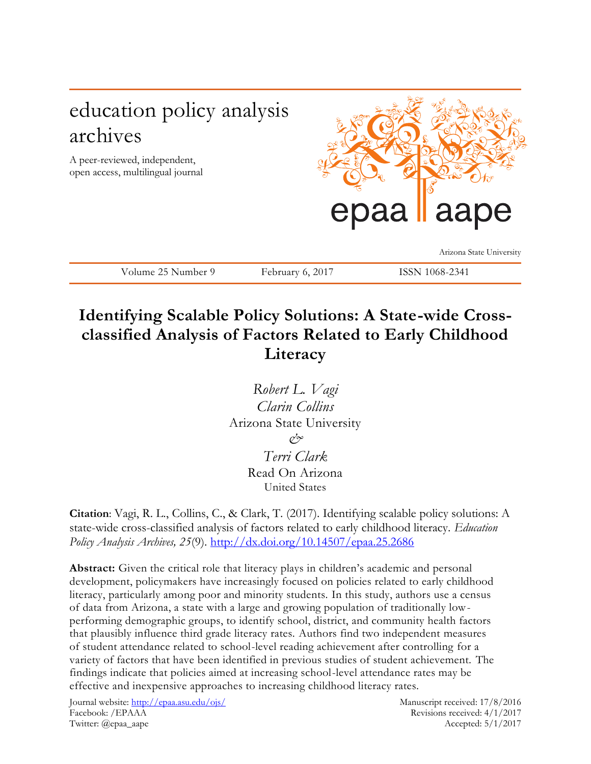# education policy analysis archives

A peer-reviewed, independent, open access, multilingual journal



Arizona State University

Volume 25 Number 9 February 6, 2017 ISSN 1068-2341

## **Identifying Scalable Policy Solutions: A State-wide Crossclassified Analysis of Factors Related to Early Childhood Literacy**

*Robert L. Vagi Clarin Collins* Arizona State University *& Terri Clark* Read On Arizona United States

**Citation**: Vagi, R. L., Collins, C., & Clark, T. (2017). Identifying scalable policy solutions: A state-wide cross-classified analysis of factors related to early childhood literacy. *Education Policy Analysis Archives, 25*(9).<http://dx.doi.org/10.14507/epaa.25.2686>

**Abstract:** Given the critical role that literacy plays in children's academic and personal development, policymakers have increasingly focused on policies related to early childhood literacy, particularly among poor and minority students. In this study, authors use a census of data from Arizona, a state with a large and growing population of traditionally lowperforming demographic groups, to identify school, district, and community health factors that plausibly influence third grade literacy rates. Authors find two independent measures of student attendance related to school-level reading achievement after controlling for a variety of factors that have been identified in previous studies of student achievement. The findings indicate that policies aimed at increasing school-level attendance rates may be effective and inexpensive approaches to increasing childhood literacy rates.

Journal website:<http://epaa.asu.edu/ojs/> Manuscript received: 17/8/2016 Facebook: /EPAAA Revisions received: 4/1/2017 Twitter: @epaa\_aape Accepted: 5/1/2017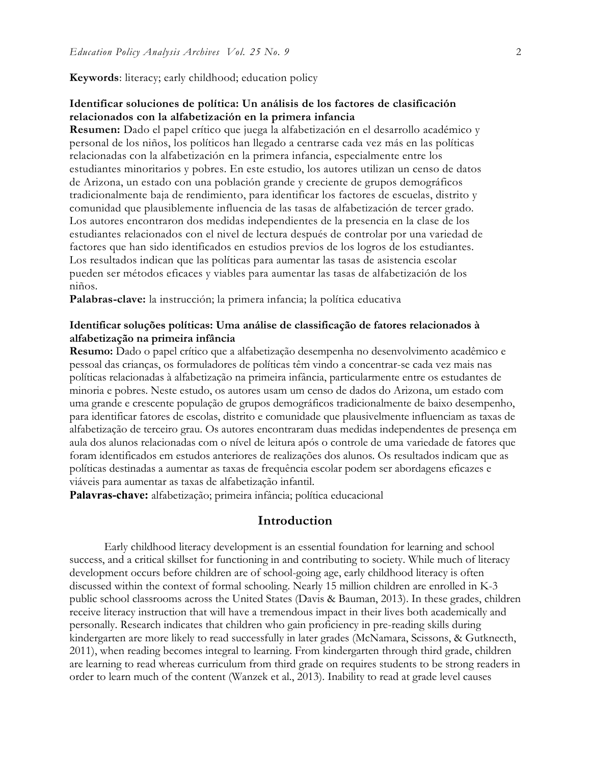**Keywords**: literacy; early childhood; education policy

### **Identificar soluciones de política: Un análisis de los factores de clasificación relacionados con la alfabetización en la primera infancia**

**Resumen:** Dado el papel crítico que juega la alfabetización en el desarrollo académico y personal de los niños, los políticos han llegado a centrarse cada vez más en las políticas relacionadas con la alfabetización en la primera infancia, especialmente entre los estudiantes minoritarios y pobres. En este estudio, los autores utilizan un censo de datos de Arizona, un estado con una población grande y creciente de grupos demográficos tradicionalmente baja de rendimiento, para identificar los factores de escuelas, distrito y comunidad que plausiblemente influencia de las tasas de alfabetización de tercer grado. Los autores encontraron dos medidas independientes de la presencia en la clase de los estudiantes relacionados con el nivel de lectura después de controlar por una variedad de factores que han sido identificados en estudios previos de los logros de los estudiantes. Los resultados indican que las políticas para aumentar las tasas de asistencia escolar pueden ser métodos eficaces y viables para aumentar las tasas de alfabetización de los niños.

**Palabras-clave:** la instrucción; la primera infancia; la política educativa

## **Identificar soluções políticas: Uma análise de classificação de fatores relacionados à alfabetização na primeira infância**

**Resumo:** Dado o papel crítico que a alfabetização desempenha no desenvolvimento acadêmico e pessoal das crianças, os formuladores de políticas têm vindo a concentrar-se cada vez mais nas políticas relacionadas à alfabetização na primeira infância, particularmente entre os estudantes de minoria e pobres. Neste estudo, os autores usam um censo de dados do Arizona, um estado com uma grande e crescente população de grupos demográficos tradicionalmente de baixo desempenho, para identificar fatores de escolas, distrito e comunidade que plausivelmente influenciam as taxas de alfabetização de terceiro grau. Os autores encontraram duas medidas independentes de presença em aula dos alunos relacionadas com o nível de leitura após o controle de uma variedade de fatores que foram identificados em estudos anteriores de realizações dos alunos. Os resultados indicam que as políticas destinadas a aumentar as taxas de frequência escolar podem ser abordagens eficazes e viáveis para aumentar as taxas de alfabetização infantil.

**Palavras-chave:** alfabetização; primeira infância; política educacional

## **Introduction**

Early childhood literacy development is an essential foundation for learning and school success, and a critical skillset for functioning in and contributing to society. While much of literacy development occurs before children are of school-going age, early childhood literacy is often discussed within the context of formal schooling. Nearly 15 million children are enrolled in K-3 public school classrooms across the United States (Davis & Bauman, 2013). In these grades, children receive literacy instruction that will have a tremendous impact in their lives both academically and personally. Research indicates that children who gain proficiency in pre-reading skills during kindergarten are more likely to read successfully in later grades (McNamara, Scissons, & Gutknecth, 2011), when reading becomes integral to learning. From kindergarten through third grade, children are learning to read whereas curriculum from third grade on requires students to be strong readers in order to learn much of the content (Wanzek et al., 2013). Inability to read at grade level causes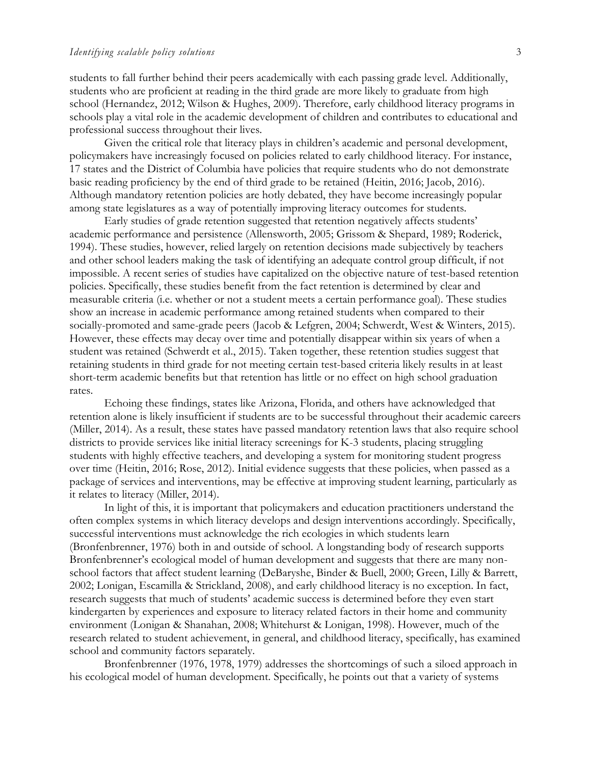students to fall further behind their peers academically with each passing grade level. Additionally, students who are proficient at reading in the third grade are more likely to graduate from high school (Hernandez, 2012; Wilson & Hughes, 2009). Therefore, early childhood literacy programs in schools play a vital role in the academic development of children and contributes to educational and professional success throughout their lives.

Given the critical role that literacy plays in children's academic and personal development, policymakers have increasingly focused on policies related to early childhood literacy. For instance, 17 states and the District of Columbia have policies that require students who do not demonstrate basic reading proficiency by the end of third grade to be retained (Heitin, 2016; Jacob, 2016). Although mandatory retention policies are hotly debated, they have become increasingly popular among state legislatures as a way of potentially improving literacy outcomes for students.

Early studies of grade retention suggested that retention negatively affects students' academic performance and persistence (Allensworth, 2005; Grissom & Shepard, 1989; Roderick, 1994). These studies, however, relied largely on retention decisions made subjectively by teachers and other school leaders making the task of identifying an adequate control group difficult, if not impossible. A recent series of studies have capitalized on the objective nature of test-based retention policies. Specifically, these studies benefit from the fact retention is determined by clear and measurable criteria (i.e. whether or not a student meets a certain performance goal). These studies show an increase in academic performance among retained students when compared to their socially-promoted and same-grade peers (Jacob & Lefgren, 2004; Schwerdt, West & Winters, 2015). However, these effects may decay over time and potentially disappear within six years of when a student was retained (Schwerdt et al., 2015). Taken together, these retention studies suggest that retaining students in third grade for not meeting certain test-based criteria likely results in at least short-term academic benefits but that retention has little or no effect on high school graduation rates.

Echoing these findings, states like Arizona, Florida, and others have acknowledged that retention alone is likely insufficient if students are to be successful throughout their academic careers (Miller, 2014). As a result, these states have passed mandatory retention laws that also require school districts to provide services like initial literacy screenings for K-3 students, placing struggling students with highly effective teachers, and developing a system for monitoring student progress over time (Heitin, 2016; Rose, 2012). Initial evidence suggests that these policies, when passed as a package of services and interventions, may be effective at improving student learning, particularly as it relates to literacy (Miller, 2014).

In light of this, it is important that policymakers and education practitioners understand the often complex systems in which literacy develops and design interventions accordingly. Specifically, successful interventions must acknowledge the rich ecologies in which students learn (Bronfenbrenner, 1976) both in and outside of school. A longstanding body of research supports Bronfenbrenner's ecological model of human development and suggests that there are many nonschool factors that affect student learning (DeBaryshe, Binder & Buell, 2000; Green, Lilly & Barrett, 2002; Lonigan, Escamilla & Strickland, 2008), and early childhood literacy is no exception. In fact, research suggests that much of students' academic success is determined before they even start kindergarten by experiences and exposure to literacy related factors in their home and community environment (Lonigan & Shanahan, 2008; Whitehurst & Lonigan, 1998). However, much of the research related to student achievement, in general, and childhood literacy, specifically, has examined school and community factors separately.

Bronfenbrenner (1976, 1978, 1979) addresses the shortcomings of such a siloed approach in his ecological model of human development. Specifically, he points out that a variety of systems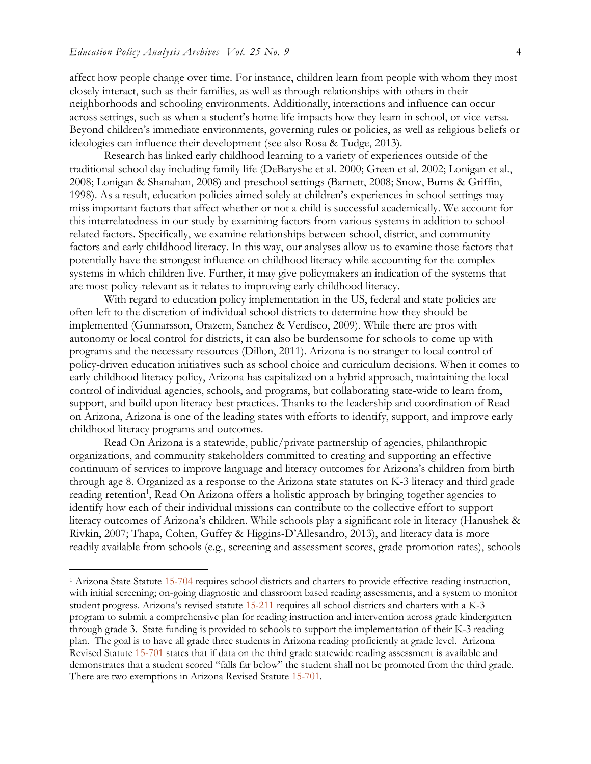$\overline{a}$ 

affect how people change over time. For instance, children learn from people with whom they most closely interact, such as their families, as well as through relationships with others in their neighborhoods and schooling environments. Additionally, interactions and influence can occur across settings, such as when a student's home life impacts how they learn in school, or vice versa. Beyond children's immediate environments, governing rules or policies, as well as religious beliefs or ideologies can influence their development (see also Rosa & Tudge, 2013).

Research has linked early childhood learning to a variety of experiences outside of the traditional school day including family life (DeBaryshe et al. 2000; Green et al. 2002; Lonigan et al., 2008; Lonigan & Shanahan, 2008) and preschool settings (Barnett, 2008; Snow, Burns & Griffin, 1998). As a result, education policies aimed solely at children's experiences in school settings may miss important factors that affect whether or not a child is successful academically. We account for this interrelatedness in our study by examining factors from various systems in addition to schoolrelated factors. Specifically, we examine relationships between school, district, and community factors and early childhood literacy. In this way, our analyses allow us to examine those factors that potentially have the strongest influence on childhood literacy while accounting for the complex systems in which children live. Further, it may give policymakers an indication of the systems that are most policy-relevant as it relates to improving early childhood literacy.

With regard to education policy implementation in the US, federal and state policies are often left to the discretion of individual school districts to determine how they should be implemented (Gunnarsson, Orazem, Sanchez & Verdisco, 2009). While there are pros with autonomy or local control for districts, it can also be burdensome for schools to come up with programs and the necessary resources (Dillon, 2011). Arizona is no stranger to local control of policy-driven education initiatives such as school choice and curriculum decisions. When it comes to early childhood literacy policy, Arizona has capitalized on a hybrid approach, maintaining the local control of individual agencies, schools, and programs, but collaborating state-wide to learn from, support, and build upon literacy best practices. Thanks to the leadership and coordination of Read on Arizona, Arizona is one of the leading states with efforts to identify, support, and improve early childhood literacy programs and outcomes.

Read On Arizona is a statewide, public/private partnership of agencies, philanthropic organizations, and community stakeholders committed to creating and supporting an effective continuum of services to improve language and literacy outcomes for Arizona's children from birth through age 8. Organized as a response to the Arizona state statutes on K-3 literacy and third grade reading retention<sup>1</sup>, Read On Arizona offers a holistic approach by bringing together agencies to identify how each of their individual missions can contribute to the collective effort to support literacy outcomes of Arizona's children. While schools play a significant role in literacy (Hanushek & Rivkin, 2007; Thapa, Cohen, Guffey & Higgins-D'Allesandro, 2013), and literacy data is more readily available from schools (e.g., screening and assessment scores, grade promotion rates), schools

<sup>1</sup> Arizona State Statute [15-704](http://www.azleg.gov/ars/15/00704.htm) requires school districts and charters to provide effective reading instruction, with initial screening; on-going diagnostic and classroom based reading assessments, and a system to monitor student progress. Arizona's revised statute [15-211](http://www.azleg.gov/FormatDocument.asp?inDoc=/ars/15/00211.htm&Title=15&DocType=ARS) requires all school districts and charters with a K-3 program to submit a comprehensive plan for reading instruction and intervention across grade kindergarten through grade 3. State funding is provided to schools to support the implementation of their K-3 reading plan. The goal is to have all grade three students in Arizona reading proficiently at grade level. Arizona Revised Statute [15-701](http://www.azleg.gov/ars/15/00701.htm) states that if data on the third grade statewide reading assessment is available and demonstrates that a student scored "falls far below" the student shall not be promoted from the third grade. There are two exemptions in Arizona Revised Statute [15-701.](http://www.azleg.gov/ars/15/00701.htm)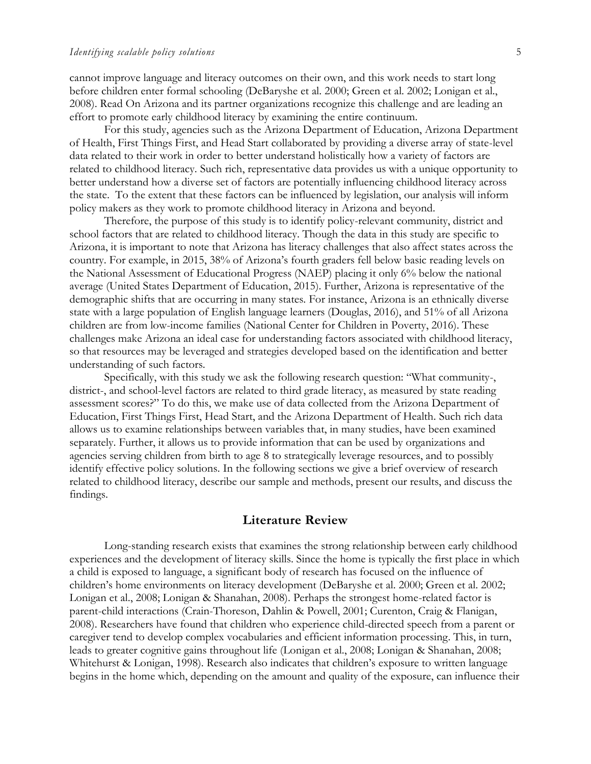cannot improve language and literacy outcomes on their own, and this work needs to start long before children enter formal schooling (DeBaryshe et al. 2000; Green et al. 2002; Lonigan et al., 2008). Read On Arizona and its partner organizations recognize this challenge and are leading an effort to promote early childhood literacy by examining the entire continuum.

For this study, agencies such as the Arizona Department of Education, Arizona Department of Health, First Things First, and Head Start collaborated by providing a diverse array of state-level data related to their work in order to better understand holistically how a variety of factors are related to childhood literacy. Such rich, representative data provides us with a unique opportunity to better understand how a diverse set of factors are potentially influencing childhood literacy across the state. To the extent that these factors can be influenced by legislation, our analysis will inform policy makers as they work to promote childhood literacy in Arizona and beyond.

Therefore, the purpose of this study is to identify policy-relevant community, district and school factors that are related to childhood literacy. Though the data in this study are specific to Arizona, it is important to note that Arizona has literacy challenges that also affect states across the country. For example, in 2015, 38% of Arizona's fourth graders fell below basic reading levels on the National Assessment of Educational Progress (NAEP) placing it only 6% below the national average (United States Department of Education, 2015). Further, Arizona is representative of the demographic shifts that are occurring in many states. For instance, Arizona is an ethnically diverse state with a large population of English language learners (Douglas, 2016), and 51% of all Arizona children are from low-income families (National Center for Children in Poverty, 2016). These challenges make Arizona an ideal case for understanding factors associated with childhood literacy, so that resources may be leveraged and strategies developed based on the identification and better understanding of such factors.

Specifically, with this study we ask the following research question: "What community-, district-, and school-level factors are related to third grade literacy, as measured by state reading assessment scores?" To do this, we make use of data collected from the Arizona Department of Education, First Things First, Head Start, and the Arizona Department of Health. Such rich data allows us to examine relationships between variables that, in many studies, have been examined separately. Further, it allows us to provide information that can be used by organizations and agencies serving children from birth to age 8 to strategically leverage resources, and to possibly identify effective policy solutions. In the following sections we give a brief overview of research related to childhood literacy, describe our sample and methods, present our results, and discuss the findings.

## **Literature Review**

Long-standing research exists that examines the strong relationship between early childhood experiences and the development of literacy skills. Since the home is typically the first place in which a child is exposed to language, a significant body of research has focused on the influence of children's home environments on literacy development (DeBaryshe et al. 2000; Green et al. 2002; Lonigan et al., 2008; Lonigan & Shanahan, 2008). Perhaps the strongest home-related factor is parent-child interactions (Crain-Thoreson, Dahlin & Powell, 2001; Curenton, Craig & Flanigan, 2008). Researchers have found that children who experience child-directed speech from a parent or caregiver tend to develop complex vocabularies and efficient information processing. This, in turn, leads to greater cognitive gains throughout life (Lonigan et al., 2008; Lonigan & Shanahan, 2008; Whitehurst & Lonigan, 1998). Research also indicates that children's exposure to written language begins in the home which, depending on the amount and quality of the exposure, can influence their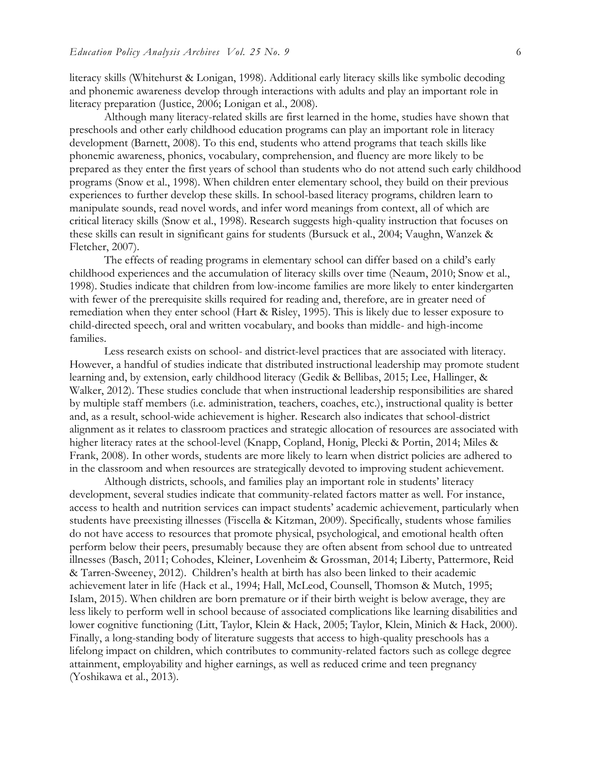literacy skills (Whitehurst & Lonigan, 1998). Additional early literacy skills like symbolic decoding and phonemic awareness develop through interactions with adults and play an important role in literacy preparation (Justice, 2006; Lonigan et al., 2008).

Although many literacy-related skills are first learned in the home, studies have shown that preschools and other early childhood education programs can play an important role in literacy development (Barnett, 2008). To this end, students who attend programs that teach skills like phonemic awareness, phonics, vocabulary, comprehension, and fluency are more likely to be prepared as they enter the first years of school than students who do not attend such early childhood programs (Snow et al., 1998). When children enter elementary school, they build on their previous experiences to further develop these skills. In school-based literacy programs, children learn to manipulate sounds, read novel words, and infer word meanings from context, all of which are critical literacy skills (Snow et al., 1998). Research suggests high-quality instruction that focuses on these skills can result in significant gains for students (Bursuck et al., 2004; Vaughn, Wanzek & Fletcher, 2007).

The effects of reading programs in elementary school can differ based on a child's early childhood experiences and the accumulation of literacy skills over time (Neaum, 2010; Snow et al., 1998). Studies indicate that children from low-income families are more likely to enter kindergarten with fewer of the prerequisite skills required for reading and, therefore, are in greater need of remediation when they enter school (Hart & Risley, 1995). This is likely due to lesser exposure to child-directed speech, oral and written vocabulary, and books than middle- and high-income families.

Less research exists on school- and district-level practices that are associated with literacy. However, a handful of studies indicate that distributed instructional leadership may promote student learning and, by extension, early childhood literacy (Gedik & Bellibas, 2015; Lee, Hallinger, & Walker, 2012). These studies conclude that when instructional leadership responsibilities are shared by multiple staff members (i.e. administration, teachers, coaches, etc.), instructional quality is better and, as a result, school-wide achievement is higher. Research also indicates that school-district alignment as it relates to classroom practices and strategic allocation of resources are associated with higher literacy rates at the school-level (Knapp, Copland, Honig, Plecki & Portin, 2014; Miles & Frank, 2008). In other words, students are more likely to learn when district policies are adhered to in the classroom and when resources are strategically devoted to improving student achievement.

Although districts, schools, and families play an important role in students' literacy development, several studies indicate that community-related factors matter as well. For instance, access to health and nutrition services can impact students' academic achievement, particularly when students have preexisting illnesses (Fiscella & Kitzman, 2009). Specifically, students whose families do not have access to resources that promote physical, psychological, and emotional health often perform below their peers, presumably because they are often absent from school due to untreated illnesses (Basch, 2011; Cohodes, Kleiner, Lovenheim & Grossman, 2014; Liberty, Pattermore, Reid & Tarren-Sweeney, 2012). Children's health at birth has also been linked to their academic achievement later in life (Hack et al., 1994; Hall, McLeod, Counsell, Thomson & Mutch, 1995; Islam, 2015). When children are born premature or if their birth weight is below average, they are less likely to perform well in school because of associated complications like learning disabilities and lower cognitive functioning (Litt, Taylor, Klein & Hack, 2005; Taylor, Klein, Minich & Hack, 2000). Finally, a long-standing body of literature suggests that access to high-quality preschools has a lifelong impact on children, which contributes to community-related factors such as college degree attainment, employability and higher earnings, as well as reduced crime and teen pregnancy (Yoshikawa et al., 2013).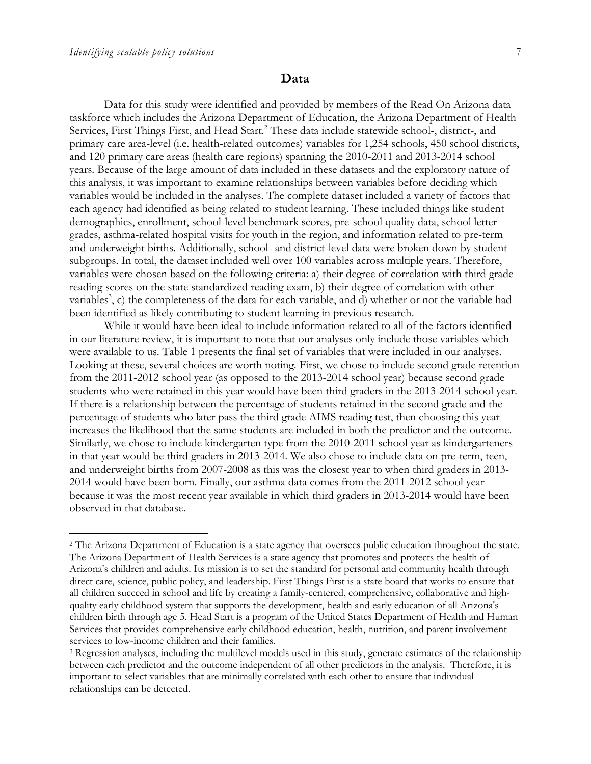$\overline{a}$ 

#### **Data**

Data for this study were identified and provided by members of the Read On Arizona data taskforce which includes the Arizona Department of Education, the Arizona Department of Health Services, First Things First, and Head Start.<sup>2</sup> These data include statewide school-, district-, and primary care area-level (i.e. health-related outcomes) variables for 1,254 schools, 450 school districts, and 120 primary care areas (health care regions) spanning the 2010-2011 and 2013-2014 school years. Because of the large amount of data included in these datasets and the exploratory nature of this analysis, it was important to examine relationships between variables before deciding which variables would be included in the analyses. The complete dataset included a variety of factors that each agency had identified as being related to student learning. These included things like student demographics, enrollment, school-level benchmark scores, pre-school quality data, school letter grades, asthma-related hospital visits for youth in the region, and information related to pre-term and underweight births. Additionally, school- and district-level data were broken down by student subgroups. In total, the dataset included well over 100 variables across multiple years. Therefore, variables were chosen based on the following criteria: a) their degree of correlation with third grade reading scores on the state standardized reading exam, b) their degree of correlation with other variables<sup>3</sup>, c) the completeness of the data for each variable, and d) whether or not the variable had been identified as likely contributing to student learning in previous research.

While it would have been ideal to include information related to all of the factors identified in our literature review, it is important to note that our analyses only include those variables which were available to us. Table 1 presents the final set of variables that were included in our analyses. Looking at these, several choices are worth noting. First, we chose to include second grade retention from the 2011-2012 school year (as opposed to the 2013-2014 school year) because second grade students who were retained in this year would have been third graders in the 2013-2014 school year. If there is a relationship between the percentage of students retained in the second grade and the percentage of students who later pass the third grade AIMS reading test, then choosing this year increases the likelihood that the same students are included in both the predictor and the outcome. Similarly, we chose to include kindergarten type from the 2010-2011 school year as kindergarteners in that year would be third graders in 2013-2014. We also chose to include data on pre-term, teen, and underweight births from 2007-2008 as this was the closest year to when third graders in 2013- 2014 would have been born. Finally, our asthma data comes from the 2011-2012 school year because it was the most recent year available in which third graders in 2013-2014 would have been observed in that database.

<sup>2</sup> The Arizona Department of Education is a state agency that oversees public education throughout the state. The Arizona Department of Health Services is a state agency that promotes and protects the health of Arizona's children and adults. Its mission is to set the standard for personal and community health through direct care, science, public policy, and leadership. First Things First is a state board that works to ensure that all children succeed in school and life by creating a family-centered, comprehensive, collaborative and highquality early childhood system that supports the development, health and early education of all Arizona's children birth through age 5. Head Start is a program of the United States Department of Health and Human Services that provides comprehensive early childhood education, health, nutrition, and parent involvement services to low-income children and their families.

<sup>&</sup>lt;sup>3</sup> Regression analyses, including the multilevel models used in this study, generate estimates of the relationship between each predictor and the outcome independent of all other predictors in the analysis. Therefore, it is important to select variables that are minimally correlated with each other to ensure that individual relationships can be detected.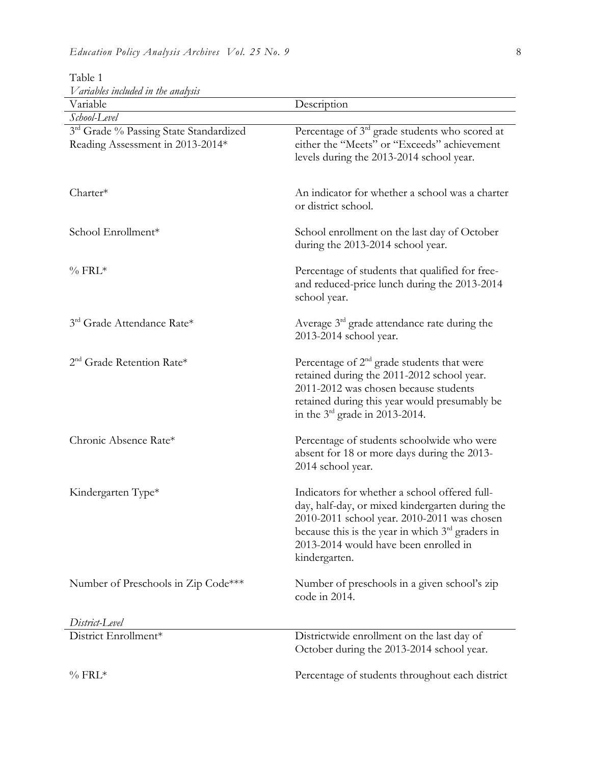| v ariavies incinuea in the anarysis<br>Variable                            |                                                                                                                                                                                                                                                                 |
|----------------------------------------------------------------------------|-----------------------------------------------------------------------------------------------------------------------------------------------------------------------------------------------------------------------------------------------------------------|
| School-Level                                                               | Description                                                                                                                                                                                                                                                     |
| 3rd Grade % Passing State Standardized<br>Reading Assessment in 2013-2014* | Percentage of $3rd$ grade students who scored at<br>either the "Meets" or "Exceeds" achievement<br>levels during the 2013-2014 school year.                                                                                                                     |
| Charter*                                                                   | An indicator for whether a school was a charter<br>or district school.                                                                                                                                                                                          |
| School Enrollment*                                                         | School enrollment on the last day of October<br>during the 2013-2014 school year.                                                                                                                                                                               |
| $\%$ FRL*                                                                  | Percentage of students that qualified for free-<br>and reduced-price lunch during the 2013-2014<br>school year.                                                                                                                                                 |
| 3rd Grade Attendance Rate*                                                 | Average $3rd$ grade attendance rate during the<br>2013-2014 school year.                                                                                                                                                                                        |
| 2 <sup>nd</sup> Grade Retention Rate*                                      | Percentage of $2nd$ grade students that were<br>retained during the 2011-2012 school year.<br>2011-2012 was chosen because students<br>retained during this year would presumably be<br>in the $3rd$ grade in 2013-2014.                                        |
| Chronic Absence Rate*                                                      | Percentage of students schoolwide who were<br>absent for 18 or more days during the 2013-<br>2014 school year.                                                                                                                                                  |
| Kindergarten Type*                                                         | Indicators for whether a school offered full-<br>day, half-day, or mixed kindergarten during the<br>2010-2011 school year. 2010-2011 was chosen<br>because this is the year in which $3rd$ graders in<br>2013-2014 would have been enrolled in<br>kindergarten. |
| Number of Preschools in Zip Code***                                        | Number of preschools in a given school's zip<br>code in 2014.                                                                                                                                                                                                   |
| District-Level                                                             |                                                                                                                                                                                                                                                                 |
| District Enrollment*                                                       | Districtwide enrollment on the last day of<br>October during the 2013-2014 school year.                                                                                                                                                                         |
| $\%$ FRL*                                                                  | Percentage of students throughout each district                                                                                                                                                                                                                 |

## Table 1 *Variables included in the analysis*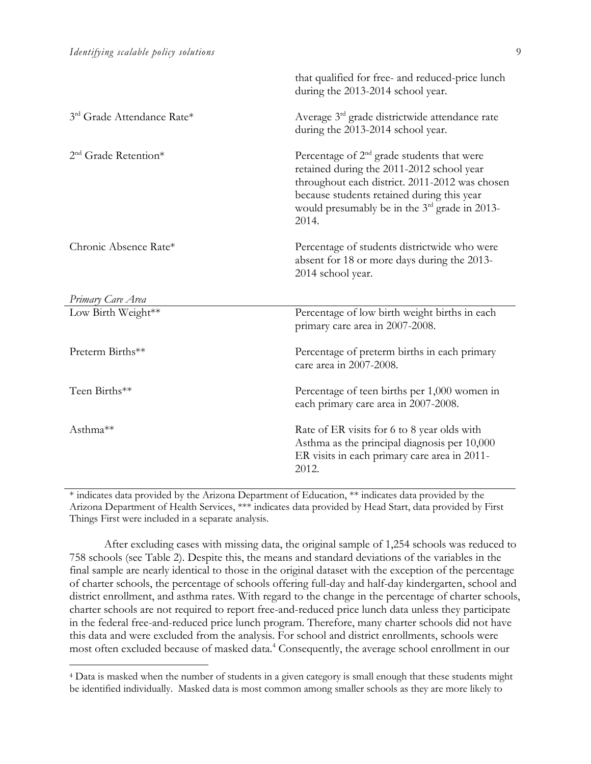$\overline{a}$ 

|                            | that qualified for free- and reduced-price lunch<br>during the 2013-2014 school year.                                                                                                                                                                           |
|----------------------------|-----------------------------------------------------------------------------------------------------------------------------------------------------------------------------------------------------------------------------------------------------------------|
| 3rd Grade Attendance Rate* | Average 3 <sup>rd</sup> grade districtwide attendance rate<br>during the 2013-2014 school year.                                                                                                                                                                 |
| $2nd$ Grade Retention*     | Percentage of $2nd$ grade students that were<br>retained during the 2011-2012 school year<br>throughout each district. 2011-2012 was chosen<br>because students retained during this year<br>would presumably be in the 3 <sup>rd</sup> grade in 2013-<br>2014. |
| Chronic Absence Rate*      | Percentage of students districtwide who were<br>absent for 18 or more days during the 2013-<br>2014 school year.                                                                                                                                                |
| Primary Care Area          |                                                                                                                                                                                                                                                                 |
| Low Birth Weight**         | Percentage of low birth weight births in each<br>primary care area in 2007-2008.                                                                                                                                                                                |
| Preterm Births**           | Percentage of preterm births in each primary<br>care area in 2007-2008.                                                                                                                                                                                         |
| Teen Births**              | Percentage of teen births per 1,000 women in<br>each primary care area in 2007-2008.                                                                                                                                                                            |
| Asthma**                   | Rate of ER visits for 6 to 8 year olds with<br>Asthma as the principal diagnosis per 10,000<br>ER visits in each primary care area in 2011-<br>2012.                                                                                                            |

\* indicates data provided by the Arizona Department of Education, \*\* indicates data provided by the Arizona Department of Health Services, \*\*\* indicates data provided by Head Start, data provided by First Things First were included in a separate analysis.

After excluding cases with missing data, the original sample of 1,254 schools was reduced to 758 schools (see Table 2). Despite this, the means and standard deviations of the variables in the final sample are nearly identical to those in the original dataset with the exception of the percentage of charter schools, the percentage of schools offering full-day and half-day kindergarten, school and district enrollment, and asthma rates. With regard to the change in the percentage of charter schools, charter schools are not required to report free-and-reduced price lunch data unless they participate in the federal free-and-reduced price lunch program. Therefore, many charter schools did not have this data and were excluded from the analysis. For school and district enrollments, schools were most often excluded because of masked data.<sup>4</sup> Consequently, the average school enrollment in our

<sup>4</sup> Data is masked when the number of students in a given category is small enough that these students might be identified individually. Masked data is most common among smaller schools as they are more likely to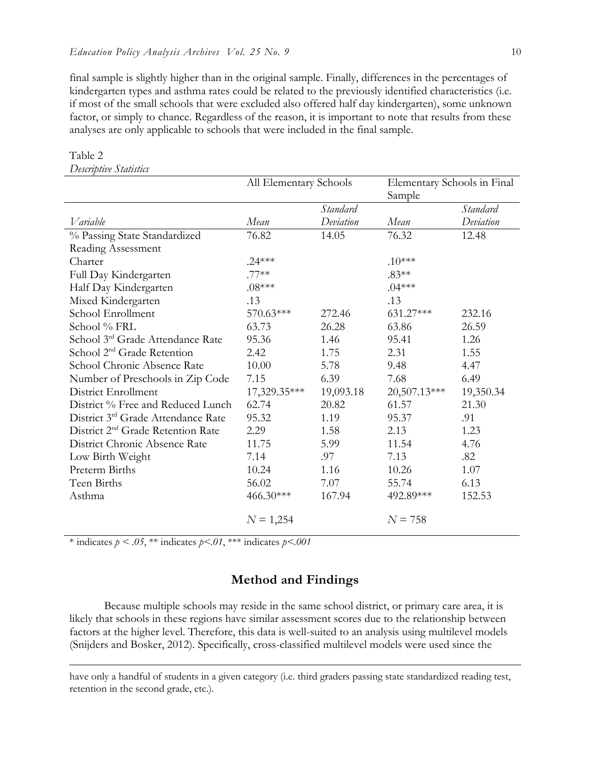final sample is slightly higher than in the original sample. Finally, differences in the percentages of kindergarten types and asthma rates could be related to the previously identified characteristics (i.e. if most of the small schools that were excluded also offered half day kindergarten), some unknown factor, or simply to chance. Regardless of the reason, it is important to note that results from these analyses are only applicable to schools that were included in the final sample.

|                                               | All Elementary Schools |                 | Elementary Schools in Final |           |
|-----------------------------------------------|------------------------|-----------------|-----------------------------|-----------|
|                                               |                        |                 | Sample                      |           |
|                                               |                        | <b>Standard</b> |                             | Standard  |
| Variable                                      | Mean                   | Deviation       | Mean                        | Deviation |
| % Passing State Standardized                  | 76.82                  | 14.05           | 76.32                       | 12.48     |
| Reading Assessment                            |                        |                 |                             |           |
| Charter                                       | $.24***$               |                 | $.10***$                    |           |
| Full Day Kindergarten                         | $.77**$                |                 | $.83**$                     |           |
| Half Day Kindergarten                         | $.08***$               |                 | $.04***$                    |           |
| Mixed Kindergarten                            | .13                    |                 | .13                         |           |
| School Enrollment                             | 570.63***              | 272.46          | 631.27***                   | 232.16    |
| School % FRL                                  | 63.73                  | 26.28           | 63.86                       | 26.59     |
| School 3rd Grade Attendance Rate              | 95.36                  | 1.46            | 95.41                       | 1.26      |
| School 2 <sup>nd</sup> Grade Retention        | 2.42                   | 1.75            | 2.31                        | 1.55      |
| School Chronic Absence Rate                   | 10.00                  | 5.78            | 9.48                        | 4.47      |
| Number of Preschools in Zip Code              | 7.15                   | 6.39            | 7.68                        | 6.49      |
| District Enrollment                           | 17,329.35***           | 19,093.18       | 20,507.13***                | 19,350.34 |
| District % Free and Reduced Lunch             | 62.74                  | 20.82           | 61.57                       | 21.30     |
| District 3rd Grade Attendance Rate            | 95.32                  | 1.19            | 95.37                       | .91       |
| District 2 <sup>nd</sup> Grade Retention Rate | 2.29                   | 1.58            | 2.13                        | 1.23      |
| District Chronic Absence Rate                 | 11.75                  | 5.99            | 11.54                       | 4.76      |
| Low Birth Weight                              | 7.14                   | .97             | 7.13                        | .82       |
| Preterm Births                                | 10.24                  | 1.16            | 10.26                       | 1.07      |
| Teen Births                                   | 56.02                  | 7.07            | 55.74                       | 6.13      |
| Asthma                                        | 466.30***              | 167.94          | 492.89***                   | 152.53    |
|                                               | $N = 1,254$            |                 | $N = 758$                   |           |

## Table 2

 $\overline{a}$ 

*Descriptive Statistics* 

\* indicates  $p < .05$ , \*\* indicates  $p < .01$ , \*\*\* indicates  $p < .001$ 

## **Method and Findings**

Because multiple schools may reside in the same school district, or primary care area, it is likely that schools in these regions have similar assessment scores due to the relationship between factors at the higher level. Therefore, this data is well-suited to an analysis using multilevel models (Snijders and Bosker, 2012). Specifically, cross-classified multilevel models were used since the

have only a handful of students in a given category (i.e. third graders passing state standardized reading test, retention in the second grade, etc.).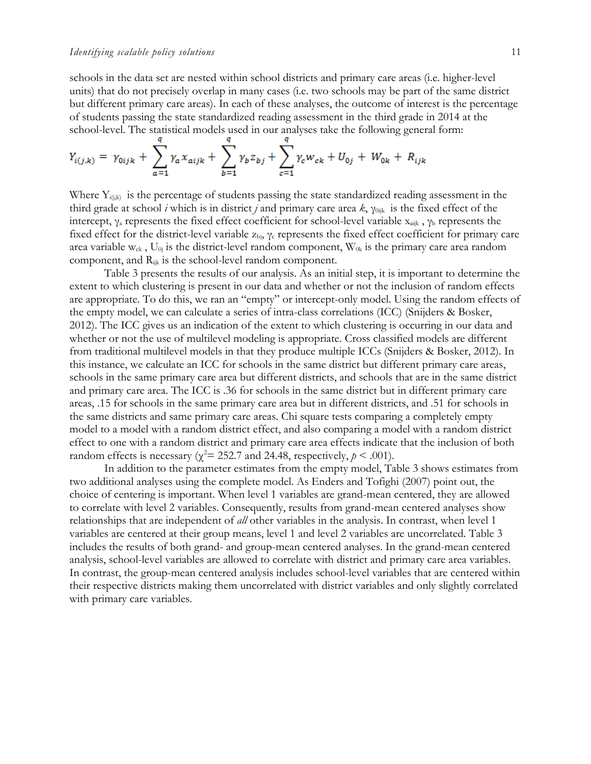schools in the data set are nested within school districts and primary care areas (i.e. higher-level units) that do not precisely overlap in many cases (i.e. two schools may be part of the same district but different primary care areas). In each of these analyses, the outcome of interest is the percentage of students passing the state standardized reading assessment in the third grade in 2014 at the school-level. The statistical models used in our analyses take the following general form:

$$
Y_{i(j,k)} = \gamma_{0ijk} + \sum_{a=1}^{q} \gamma_a x_{aijk} + \sum_{b=1}^{q} \gamma_b z_{bj} + \sum_{c=1}^{q} \gamma_c w_{ck} + U_{0j} + W_{0k} + R_{ijk}
$$

Where  $Y_{i(j,k)}$  is the percentage of students passing the state standardized reading assessment in the third grade at school *i* which is in district *j* and primary care area *k*, γ0ijk is the fixed effect of the intercept,  $\gamma_a$  represents the fixed effect coefficient for school-level variable  $x_{aijk}$ ,  $\gamma_b$  represents the fixed effect for the district-level variable  $z_{bi}$ ,  $\gamma_c$  represents the fixed effect coefficient for primary care area variable  $w_{ck}$ ,  $U_{0j}$  is the district-level random component,  $W_{0k}$  is the primary care area random component, and Rijk is the school-level random component.

Table 3 presents the results of our analysis. As an initial step, it is important to determine the extent to which clustering is present in our data and whether or not the inclusion of random effects are appropriate. To do this, we ran an "empty" or intercept-only model. Using the random effects of the empty model, we can calculate a series of intra-class correlations (ICC) (Snijders & Bosker, 2012). The ICC gives us an indication of the extent to which clustering is occurring in our data and whether or not the use of multilevel modeling is appropriate. Cross classified models are different from traditional multilevel models in that they produce multiple ICCs (Snijders & Bosker, 2012). In this instance, we calculate an ICC for schools in the same district but different primary care areas, schools in the same primary care area but different districts, and schools that are in the same district and primary care area. The ICC is .36 for schools in the same district but in different primary care areas, .15 for schools in the same primary care area but in different districts, and .51 for schools in the same districts and same primary care areas. Chi square tests comparing a completely empty model to a model with a random district effect, and also comparing a model with a random district effect to one with a random district and primary care area effects indicate that the inclusion of both random effects is necessary ( $\chi^2$  = 252.7 and 24.48, respectively,  $p$  < .001).

In addition to the parameter estimates from the empty model, Table 3 shows estimates from two additional analyses using the complete model. As Enders and Tofighi (2007) point out, the choice of centering is important. When level 1 variables are grand-mean centered, they are allowed to correlate with level 2 variables. Consequently, results from grand-mean centered analyses show relationships that are independent of *all* other variables in the analysis. In contrast, when level 1 variables are centered at their group means, level 1 and level 2 variables are uncorrelated. Table 3 includes the results of both grand- and group-mean centered analyses. In the grand-mean centered analysis, school-level variables are allowed to correlate with district and primary care area variables. In contrast, the group-mean centered analysis includes school-level variables that are centered within their respective districts making them uncorrelated with district variables and only slightly correlated with primary care variables.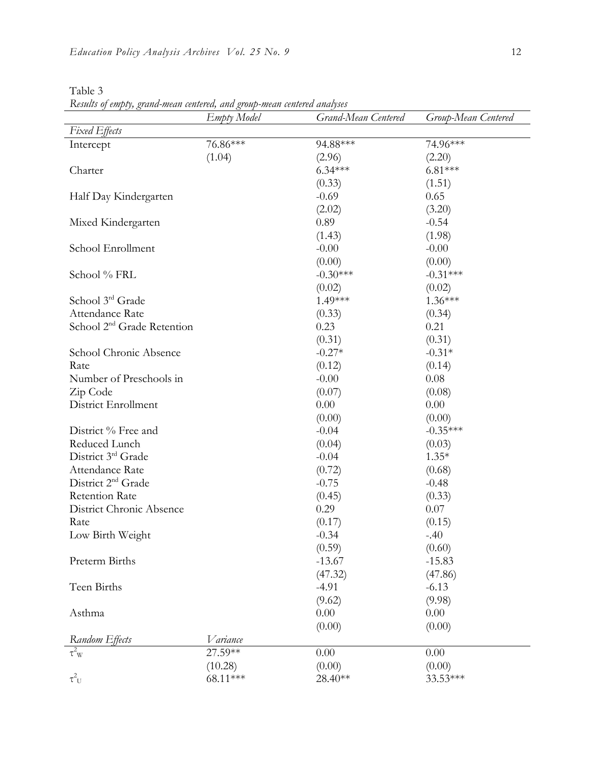| ante |  |
|------|--|
|      |  |

*Results of empty, grand-mean centered, and group-mean centered analyses*

|                                        | <b>Empty</b> Model | Grand-Mean Centered | Group-Mean Centered |
|----------------------------------------|--------------------|---------------------|---------------------|
| <b>Fixed Effects</b>                   |                    |                     |                     |
| Intercept                              | 76.86***           | 94.88***            | 74.96***            |
|                                        | (1.04)             | (2.96)              | (2.20)              |
| Charter                                |                    | $6.34***$           | $6.81***$           |
|                                        |                    | (0.33)              | (1.51)              |
| Half Day Kindergarten                  |                    | $-0.69$             | 0.65                |
|                                        |                    | (2.02)              | (3.20)              |
| Mixed Kindergarten                     |                    | 0.89                | $-0.54$             |
|                                        |                    | (1.43)              | (1.98)              |
| School Enrollment                      |                    | $-0.00$             | $-0.00$             |
|                                        |                    | (0.00)              | (0.00)              |
| School % FRL                           |                    | $-0.30***$          | $-0.31***$          |
|                                        |                    | (0.02)              | (0.02)              |
| School 3rd Grade                       |                    | 1.49***             | $1.36***$           |
| Attendance Rate                        |                    | (0.33)              | (0.34)              |
| School 2 <sup>nd</sup> Grade Retention |                    | 0.23                | 0.21                |
|                                        |                    | (0.31)              | (0.31)              |
| School Chronic Absence                 |                    | $-0.27*$            | $-0.31*$            |
| Rate                                   |                    | (0.12)              | (0.14)              |
| Number of Preschools in                |                    | $-0.00$             | 0.08                |
| Zip Code                               |                    | (0.07)              | (0.08)              |
| District Enrollment                    |                    | 0.00                | 0.00                |
|                                        |                    | (0.00)              | (0.00)              |
| District % Free and                    |                    | $-0.04$             | $-0.35***$          |
| Reduced Lunch                          |                    | (0.04)              | (0.03)              |
| District 3rd Grade                     |                    | $-0.04$             | $1.35*$             |
| Attendance Rate                        |                    | (0.72)              | (0.68)              |
| District 2 <sup>nd</sup> Grade         |                    | $-0.75$             | $-0.48$             |
| <b>Retention Rate</b>                  |                    | (0.45)              | (0.33)              |
| District Chronic Absence               |                    | 0.29                | 0.07                |
| Rate                                   |                    | (0.17)              | (0.15)              |
| Low Birth Weight                       |                    | $-0.34$             | $-.40$              |
|                                        |                    | (0.59)              | (0.60)              |
| Preterm Births                         |                    | $-13.67$            | $-15.83$            |
|                                        |                    | (47.32)             | (47.86)             |
| Teen Births                            |                    | $-4.91$             | $-6.13$             |
|                                        |                    | (9.62)              | (9.98)              |
| Asthma                                 |                    | 0.00                | 0.00                |
|                                        |                    | (0.00)              | (0.00)              |
| Random Effects                         | Variance           |                     |                     |
| $\tau^2$ <sub>W</sub>                  | 27.59**            | 0.00                | 0.00                |
|                                        | (10.28)            | (0.00)              | (0.00)              |
| $\tau^2_{\ U}$                         | 68.11***           | 28.40**             | 33.53***            |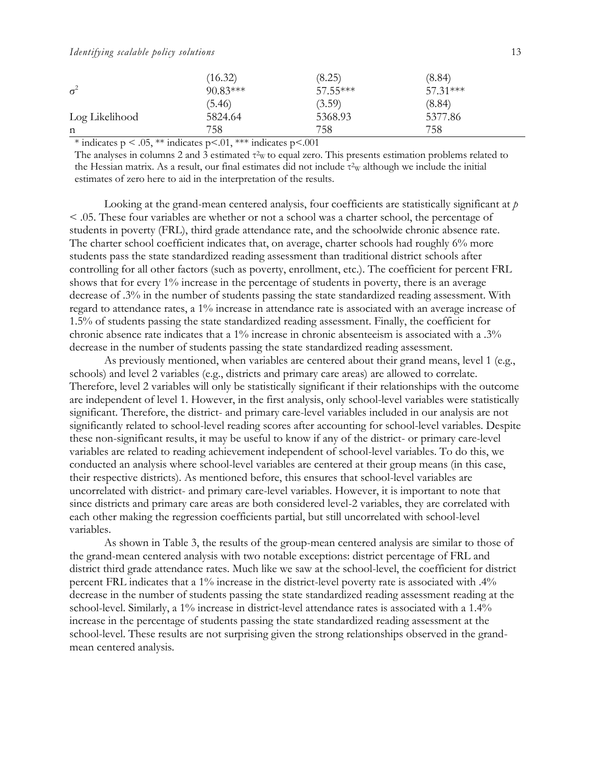#### *Identifying scalable policy solutions* 13

|                | (16.32)    | (8.25)     | (8.84)   |  |
|----------------|------------|------------|----------|--|
| $\sigma^2$     | $90.83***$ | $57.55***$ | 57.31*** |  |
|                | (5.46)     | (3.59)     | (8.84)   |  |
| Log Likelihood | 5824.64    | 5368.93    | 5377.86  |  |
| n              | 758        | 758        | 758      |  |

 $*$  indicates p < .05, \*\* indicates p <.001, \*\*\* indicates p <.001

The analyses in columns 2 and 3 estimated  $\tau^2$  to equal zero. This presents estimation problems related to the Hessian matrix. As a result, our final estimates did not include  $\tau^2$ <sub>W</sub> although we include the initial estimates of zero here to aid in the interpretation of the results.

Looking at the grand-mean centered analysis, four coefficients are statistically significant at *p* < .05. These four variables are whether or not a school was a charter school, the percentage of students in poverty (FRL), third grade attendance rate, and the schoolwide chronic absence rate. The charter school coefficient indicates that, on average, charter schools had roughly 6% more students pass the state standardized reading assessment than traditional district schools after controlling for all other factors (such as poverty, enrollment, etc.). The coefficient for percent FRL shows that for every 1% increase in the percentage of students in poverty, there is an average decrease of .3% in the number of students passing the state standardized reading assessment. With regard to attendance rates, a 1% increase in attendance rate is associated with an average increase of 1.5% of students passing the state standardized reading assessment. Finally, the coefficient for chronic absence rate indicates that a 1% increase in chronic absenteeism is associated with a .3% decrease in the number of students passing the state standardized reading assessment.

As previously mentioned, when variables are centered about their grand means, level 1 (e.g., schools) and level 2 variables (e.g., districts and primary care areas) are allowed to correlate. Therefore, level 2 variables will only be statistically significant if their relationships with the outcome are independent of level 1. However, in the first analysis, only school-level variables were statistically significant. Therefore, the district- and primary care-level variables included in our analysis are not significantly related to school-level reading scores after accounting for school-level variables. Despite these non-significant results, it may be useful to know if any of the district- or primary care-level variables are related to reading achievement independent of school-level variables. To do this, we conducted an analysis where school-level variables are centered at their group means (in this case, their respective districts). As mentioned before, this ensures that school-level variables are uncorrelated with district- and primary care-level variables. However, it is important to note that since districts and primary care areas are both considered level-2 variables, they are correlated with each other making the regression coefficients partial, but still uncorrelated with school-level variables.

As shown in Table 3, the results of the group-mean centered analysis are similar to those of the grand-mean centered analysis with two notable exceptions: district percentage of FRL and district third grade attendance rates. Much like we saw at the school-level, the coefficient for district percent FRL indicates that a 1% increase in the district-level poverty rate is associated with .4% decrease in the number of students passing the state standardized reading assessment reading at the school-level. Similarly, a 1% increase in district-level attendance rates is associated with a 1.4% increase in the percentage of students passing the state standardized reading assessment at the school-level. These results are not surprising given the strong relationships observed in the grandmean centered analysis.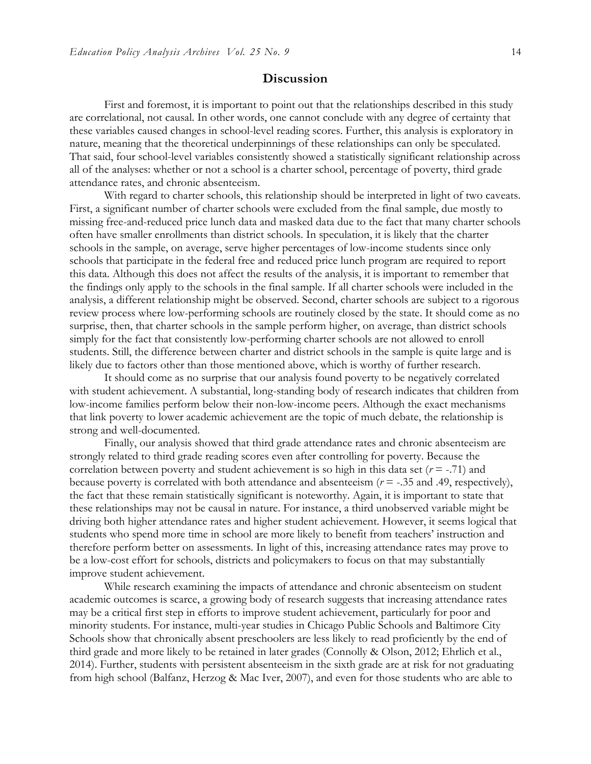## **Discussion**

First and foremost, it is important to point out that the relationships described in this study are correlational, not causal. In other words, one cannot conclude with any degree of certainty that these variables caused changes in school-level reading scores. Further, this analysis is exploratory in nature, meaning that the theoretical underpinnings of these relationships can only be speculated. That said, four school-level variables consistently showed a statistically significant relationship across all of the analyses: whether or not a school is a charter school, percentage of poverty, third grade attendance rates, and chronic absenteeism.

With regard to charter schools, this relationship should be interpreted in light of two caveats. First, a significant number of charter schools were excluded from the final sample, due mostly to missing free-and-reduced price lunch data and masked data due to the fact that many charter schools often have smaller enrollments than district schools. In speculation, it is likely that the charter schools in the sample, on average, serve higher percentages of low-income students since only schools that participate in the federal free and reduced price lunch program are required to report this data. Although this does not affect the results of the analysis, it is important to remember that the findings only apply to the schools in the final sample. If all charter schools were included in the analysis, a different relationship might be observed. Second, charter schools are subject to a rigorous review process where low-performing schools are routinely closed by the state. It should come as no surprise, then, that charter schools in the sample perform higher, on average, than district schools simply for the fact that consistently low-performing charter schools are not allowed to enroll students. Still, the difference between charter and district schools in the sample is quite large and is likely due to factors other than those mentioned above, which is worthy of further research.

It should come as no surprise that our analysis found poverty to be negatively correlated with student achievement. A substantial, long-standing body of research indicates that children from low-income families perform below their non-low-income peers. Although the exact mechanisms that link poverty to lower academic achievement are the topic of much debate, the relationship is strong and well-documented.

Finally, our analysis showed that third grade attendance rates and chronic absenteeism are strongly related to third grade reading scores even after controlling for poverty. Because the correlation between poverty and student achievement is so high in this data set  $(r = -0.71)$  and because poverty is correlated with both attendance and absenteeism (*r* = -.35 and .49, respectively), the fact that these remain statistically significant is noteworthy. Again, it is important to state that these relationships may not be causal in nature. For instance, a third unobserved variable might be driving both higher attendance rates and higher student achievement. However, it seems logical that students who spend more time in school are more likely to benefit from teachers' instruction and therefore perform better on assessments. In light of this, increasing attendance rates may prove to be a low-cost effort for schools, districts and policymakers to focus on that may substantially improve student achievement.

While research examining the impacts of attendance and chronic absenteeism on student academic outcomes is scarce, a growing body of research suggests that increasing attendance rates may be a critical first step in efforts to improve student achievement, particularly for poor and minority students. For instance, multi-year studies in Chicago Public Schools and Baltimore City Schools show that chronically absent preschoolers are less likely to read proficiently by the end of third grade and more likely to be retained in later grades (Connolly & Olson, 2012; Ehrlich et al., 2014). Further, students with persistent absenteeism in the sixth grade are at risk for not graduating from high school (Balfanz, Herzog & Mac Iver, 2007), and even for those students who are able to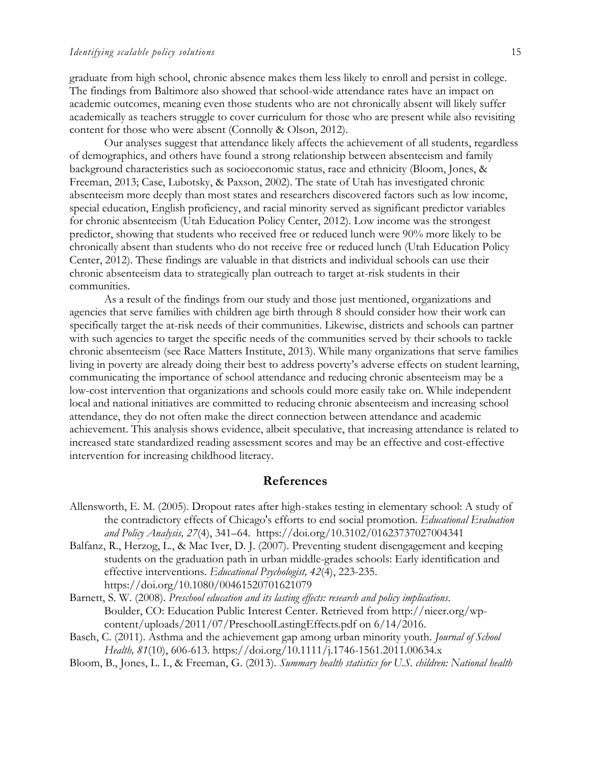graduate from high school, chronic absence makes them less likely to enroll and persist in college. The findings from Baltimore also showed that school-wide attendance rates have an impact on academic outcomes, meaning even those students who are not chronically absent will likely suffer academically as teachers struggle to cover curriculum for those who are present while also revisiting content for those who were absent (Connolly & Olson, 2012).

Our analyses suggest that attendance likely affects the achievement of all students, regardless of demographics, and others have found a strong relationship between absenteeism and family background characteristics such as socioeconomic status, race and ethnicity (Bloom, Jones, & Freeman, 2013; Case, Lubotsky, & Paxson, 2002). The state of Utah has investigated chronic absenteeism more deeply than most states and researchers discovered factors such as low income, special education, English proficiency, and racial minority served as significant predictor variables for chronic absenteeism (Utah Education Policy Center, 2012). Low income was the strongest predictor, showing that students who received free or reduced lunch were 90% more likely to be chronically absent than students who do not receive free or reduced lunch (Utah Education Policy Center, 2012). These findings are valuable in that districts and individual schools can use their chronic absenteeism data to strategically plan outreach to target at-risk students in their communities.

As a result of the findings from our study and those just mentioned, organizations and agencies that serve families with children age birth through 8 should consider how their work can specifically target the at-risk needs of their communities. Likewise, districts and schools can partner with such agencies to target the specific needs of the communities served by their schools to tackle chronic absenteeism (see Race Matters Institute, 2013). While many organizations that serve families living in poverty are already doing their best to address poverty's adverse effects on student learning, communicating the importance of school attendance and reducing chronic absenteeism may be a low-cost intervention that organizations and schools could more easily take on. While independent local and national initiatives are committed to reducing chronic absenteeism and increasing school attendance, they do not often make the direct connection between attendance and academic achievement. This analysis shows evidence, albeit speculative, that increasing attendance is related to increased state standardized reading assessment scores and may be an effective and cost-effective intervention for increasing childhood literacy.

#### **References**

- Allensworth, E. M. (2005). Dropout rates after high-stakes testing in elementary school: A study of the contradictory effects of Chicago's efforts to end social promotion. *Educational Evaluation and Policy Analysis, 27*(4), 341–64. https://doi.org/10.3102/01623737027004341
- Balfanz, R., Herzog, L., & Mac Iver, D. J. (2007). Preventing student disengagement and keeping students on the graduation path in urban middle-grades schools: Early identification and effective interventions. *Educational Psychologist, 42*(4), 223-235. https://doi.org/10.1080/00461520701621079
- Barnett, S. W. (2008). *Preschool education and its lasting effects: research and policy implications*. Boulder, CO: Education Public Interest Center. Retrieved from http://nieer.org/wpcontent/uploads/2011/07/PreschoolLastingEffects.pdf on 6/14/2016.
- Basch, C. (2011). Asthma and the achievement gap among urban minority youth. *Journal of School Health, 81*(10), 606-613. https://doi.org/10.1111/j.1746-1561.2011.00634.x
- Bloom, B., Jones, L. I., & Freeman, G. (2013). *Summary health statistics for U.S. children: National health*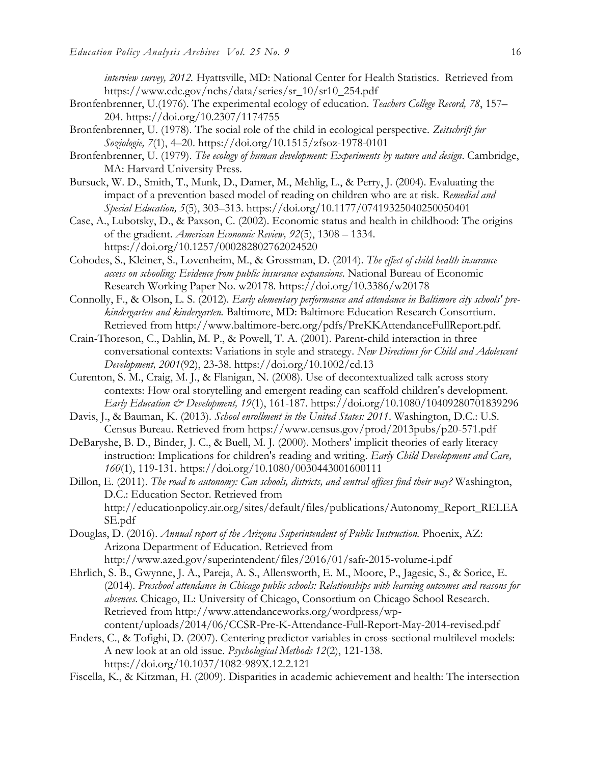*interview survey, 2012.* Hyattsville, MD: National Center for Health Statistics. Retrieved from https://www.cdc.gov/nchs/data/series/sr\_10/sr10\_254.pdf

- Bronfenbrenner, U.(1976). The experimental ecology of education. *Teachers College Record, 78*, 157– 204. https://doi.org/10.2307/1174755
- Bronfenbrenner, U. (1978). The social role of the child in ecological perspective. *Zeitschrift fur Soziologie, 7*(1), 4–20. https://doi.org/10.1515/zfsoz-1978-0101
- Bronfenbrenner, U. (1979). *The ecology of human development: Experiments by nature and design*. Cambridge, MA: Harvard University Press.
- Bursuck, W. D., Smith, T., Munk, D., Damer, M., Mehlig, L., & Perry, J. (2004). Evaluating the impact of a prevention based model of reading on children who are at risk. *Remedial and Special Education, 5*(5), 303–313. https://doi.org/10.1177/07419325040250050401
- Case, A., Lubotsky, D., & Paxson, C. (2002). Economic status and health in childhood: The origins of the gradient. *American Economic Review, 92*(5), 1308 – 1334. https://doi.org/10.1257/000282802762024520
- Cohodes, S., Kleiner, S., Lovenheim, M., & Grossman, D. (2014). *The effect of child health insurance access on schooling: Evidence from public insurance expansions*. National Bureau of Economic Research Working Paper No. w20178. https://doi.org/10.3386/w20178
- Connolly, F., & Olson, L. S. (2012). *Early elementary performance and attendance in Baltimore city schools' prekindergarten and kindergarten.* Baltimore, MD: Baltimore Education Research Consortium. Retrieved from http://www.baltimore-berc.org/pdfs/PreKKAttendanceFullReport.pdf.
- Crain-Thoreson, C., Dahlin, M. P., & Powell, T. A. (2001). Parent-child interaction in three conversational contexts: Variations in style and strategy. *New Directions for Child and Adolescent Development, 2001*(92), 23-38. https://doi.org/10.1002/cd.13
- Curenton, S. M., Craig, M. J., & Flanigan, N. (2008). Use of decontextualized talk across story contexts: How oral storytelling and emergent reading can scaffold children's development. *Early Education & Development, 19*(1), 161-187. https://doi.org/10.1080/10409280701839296
- Davis, J., & Bauman, K. (2013). *School enrollment in the United States: 2011*. Washington, D.C.: U.S. Census Bureau. Retrieved from https://www.census.gov/prod/2013pubs/p20-571.pdf
- DeBaryshe, B. D., Binder, J. C., & Buell, M. J. (2000). Mothers' implicit theories of early literacy instruction: Implications for children's reading and writing. *Early Child Development and Care, 160*(1), 119-131. https://doi.org/10.1080/0030443001600111
- Dillon, E. (2011). *The road to autonomy: Can schools, districts, and central offices find their way?* Washington, D.C.: Education Sector. Retrieved from http://educationpolicy.air.org/sites/default/files/publications/Autonomy\_Report\_RELEA SE.pdf
- Douglas, D. (2016). *Annual report of the Arizona Superintendent of Public Instruction.* Phoenix, AZ: Arizona Department of Education. Retrieved from
	- http://www.azed.gov/superintendent/files/2016/01/safr-2015-volume-i.pdf
- Ehrlich, S. B., Gwynne, J. A., Pareja, A. S., Allensworth, E. M., Moore, P., Jagesic, S., & Sorice, E. (2014). *Preschool attendance in Chicago public schools: Relationships with learning outcomes and reasons for absences*. Chicago, IL: University of Chicago, Consortium on Chicago School Research. Retrieved from http://www.attendanceworks.org/wordpress/wpcontent/uploads/2014/06/CCSR-Pre-K-Attendance-Full-Report-May-2014-revised.pdf
- Enders, C., & Tofighi, D. (2007). Centering predictor variables in cross-sectional multilevel models: A new look at an old issue. *Psychological Methods 12*(2), 121-138. https://doi.org/10.1037/1082-989X.12.2.121
- Fiscella, K., & Kitzman, H. (2009). Disparities in academic achievement and health: The intersection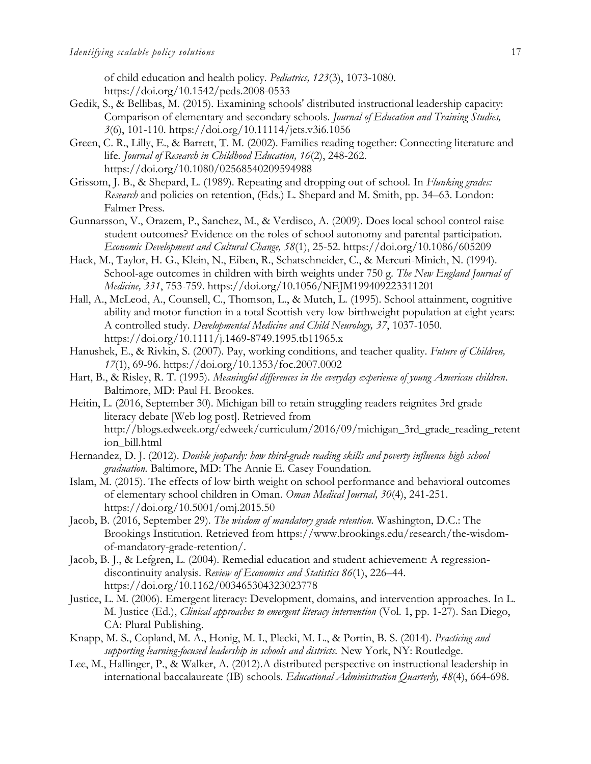of child education and health policy*. Pediatrics, 123*(3), 1073-1080. https://doi.org/10.1542/peds.2008-0533

- Gedik, S., & Bellibas, M. (2015). Examining schools' distributed instructional leadership capacity: Comparison of elementary and secondary schools. *Journal of Education and Training Studies, 3*(6), 101-110. https://doi.org/10.11114/jets.v3i6.1056
- Green, C. R., Lilly, E., & Barrett, T. M. (2002). Families reading together: Connecting literature and life*. Journal of Research in Childhood Education, 16*(2), 248-262. https://doi.org/10.1080/02568540209594988
- Grissom, J. B., & Shepard, L. (1989). Repeating and dropping out of school*.* In *Flunking grades: Research* and policies on retention, (Eds.) L. Shepard and M. Smith, pp. 34–63. London: Falmer Press.
- Gunnarsson, V., Orazem, P., Sanchez, M., & Verdisco, A. (2009). Does local school control raise student outcomes? Evidence on the roles of school autonomy and parental participation. *Economic Development and Cultural Change, 58*(1), 25-52. https://doi.org/10.1086/605209
- Hack, M., Taylor, H. G., Klein, N., Eiben, R., Schatschneider, C., & Mercuri-Minich, N. (1994). School-age outcomes in children with birth weights under 750 g. *The New England Journal of Medicine, 331*, 753-759. https://doi.org/10.1056/NEJM199409223311201
- Hall, A., McLeod, A., Counsell, C., Thomson, L., & Mutch, L. (1995). School attainment, cognitive ability and motor function in a total Scottish very-low-birthweight population at eight years: A controlled study. *Developmental Medicine and Child Neurology, 37*, 1037-1050. https://doi.org/10.1111/j.1469-8749.1995.tb11965.x
- Hanushek, E., & Rivkin, S. (2007). Pay, working conditions, and teacher quality. *Future of Children, 17*(1), 69-96. https://doi.org/10.1353/foc.2007.0002
- Hart, B., & Risley, R. T. (1995). *Meaningful differences in the everyday experience of young American children*. Baltimore, MD: Paul H. Brookes.
- Heitin, L. (2016, September 30). Michigan bill to retain struggling readers reignites 3rd grade literacy debate [Web log post]. Retrieved from http://blogs.edweek.org/edweek/curriculum/2016/09/michigan\_3rd\_grade\_reading\_retent ion\_bill.html
- Hernandez, D. J. (2012). *Double jeopardy: how third-grade reading skills and poverty influence high school graduation.* Baltimore, MD: The Annie E. Casey Foundation.
- Islam, M. (2015). The effects of low birth weight on school performance and behavioral outcomes of elementary school children in Oman. *Oman Medical Journal, 30*(4), 241-251. https://doi.org/10.5001/omj.2015.50
- Jacob, B. (2016, September 29). *The wisdom of mandatory grade retention.* Washington, D.C.: The Brookings Institution. Retrieved from https://www.brookings.edu/research/the-wisdomof-mandatory-grade-retention/.
- Jacob, B. J., & Lefgren, L. (2004). Remedial education and student achievement: A regressiondiscontinuity analysis. *Review of Economics and Statistics 86*(1), 226–44. https://doi.org/10.1162/003465304323023778
- Justice, L. M. (2006). Emergent literacy: Development, domains, and intervention approaches. In L. M. Justice (Ed.), *Clinical approaches to emergent literacy intervention* (Vol. 1, pp. 1-27). San Diego, CA: Plural Publishing.
- Knapp, M. S., Copland, M. A., Honig, M. I., Plecki, M. L., & Portin, B. S. (2014). *Practicing and supporting learning-focused leadership in schools and districts.* New York, NY: Routledge.
- Lee, M., Hallinger, P., & Walker, A. (2012).A distributed perspective on instructional leadership in international baccalaureate (IB) schools. *Educational Administration Quarterly, 48*(4), 664-698.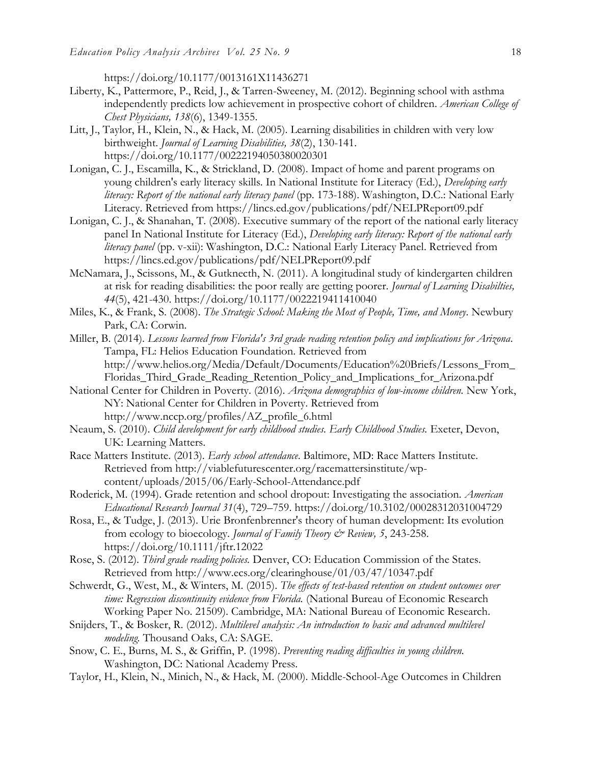https://doi.org/10.1177/0013161X11436271

- Liberty, K., Pattermore, P., Reid, J., & Tarren-Sweeney, M. (2012). Beginning school with asthma independently predicts low achievement in prospective cohort of children. *American College of Chest Physicians, 138*(6), 1349-1355.
- Litt, J., Taylor, H., Klein, N., & Hack, M. (2005). Learning disabilities in children with very low birthweight. *Journal of Learning Disabilities, 38*(2), 130-141. https://doi.org/10.1177/00222194050380020301
- Lonigan, C. J., Escamilla, K., & Strickland, D. (2008). Impact of home and parent programs on young children's early literacy skills. In National Institute for Literacy (Ed.), *Developing early literacy: Report of the national early literacy panel* (pp. 173-188). Washington, D.C.: National Early Literacy. Retrieved from https://lincs.ed.gov/publications/pdf/NELPReport09.pdf
- Lonigan, C. J., & Shanahan, T. (2008). Executive summary of the report of the national early literacy panel In National Institute for Literacy (Ed.), *Developing early literacy: Report of the national early literacy panel* (pp. v-xii): Washington, D.C.: National Early Literacy Panel. Retrieved from https://lincs.ed.gov/publications/pdf/NELPReport09.pdf
- McNamara, J., Scissons, M., & Gutknecth, N. (2011). A longitudinal study of kindergarten children at risk for reading disabilities: the poor really are getting poorer. *Journal of Learning Disabilties, 44*(5), 421-430. https://doi.org/10.1177/0022219411410040
- Miles, K., & Frank, S. (2008). *The Strategic School: Making the Most of People, Time, and Money*. Newbury Park, CA: Corwin.
- Miller, B. (2014). *Lessons learned from Florida's 3rd grade reading retention policy and implications for Arizona*. Tampa, FL: Helios Education Foundation. Retrieved from http://www.helios.org/Media/Default/Documents/Education%20Briefs/Lessons\_From\_ Floridas\_Third\_Grade\_Reading\_Retention\_Policy\_and\_Implications\_for\_Arizona.pdf
- National Center for Children in Poverty. (2016). *Arizona demographics of low-income children.* New York, NY: National Center for Children in Poverty. Retrieved from http://www.nccp.org/profiles/AZ\_profile\_6.html
- Neaum, S. (2010). *Child development for early childhood studies. Early Childhood Studies.* Exeter, Devon, UK: Learning Matters.
- Race Matters Institute. (2013). *Early school attendance*. Baltimore, MD: Race Matters Institute. Retrieved from http://viablefuturescenter.org/racemattersinstitute/wpcontent/uploads/2015/06/Early-School-Attendance.pdf
- Roderick, M. (1994). Grade retention and school dropout: Investigating the association. *American Educational Research Journal 31*(4), 729–759. https://doi.org/10.3102/00028312031004729
- Rosa, E., & Tudge, J. (2013). Urie Bronfenbrenner's theory of human development: Its evolution from ecology to bioecology. *Journal of Family Theory & Review, 5*, 243-258. https://doi.org/10.1111/jftr.12022
- Rose, S. (2012). *Third grade reading policies.* Denver, CO: Education Commission of the States. Retrieved from http://www.ecs.org/clearinghouse/01/03/47/10347.pdf
- Schwerdt, G., West, M., & Winters, M. (2015). *The effects of test-based retention on student outcomes over time: Regression discontinuity evidence from Florida.* (National Bureau of Economic Research Working Paper No. 21509). Cambridge, MA: National Bureau of Economic Research.
- Snijders, T., & Bosker, R. (2012). *Multilevel analysis: An introduction to basic and advanced multilevel modeling.* Thousand Oaks, CA: SAGE.
- Snow, C. E., Burns, M. S., & Griffin, P. (1998). *Preventing reading difficulties in young children.* Washington, DC: National Academy Press.
- Taylor, H., Klein, N., Minich, N., & Hack, M. (2000). Middle-School-Age Outcomes in Children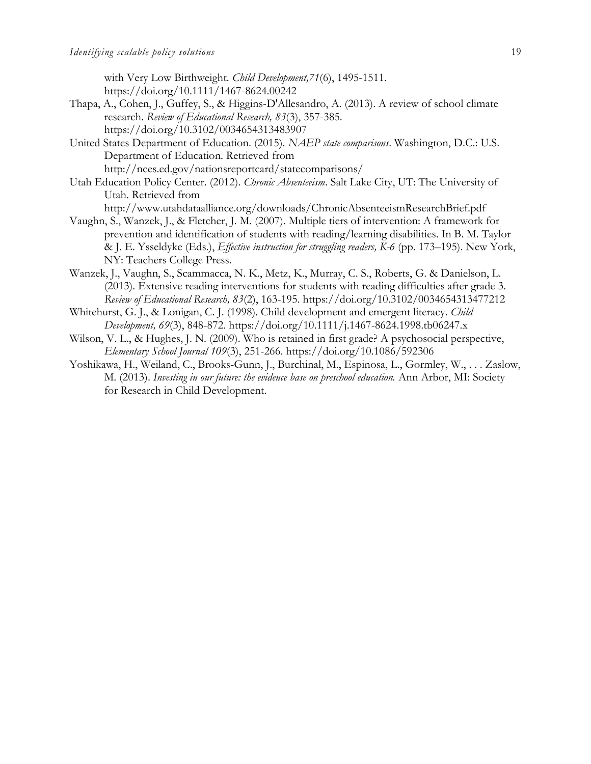with Very Low Birthweight. *Child Development,71*(6), 1495-1511. https://doi.org/10.1111/1467-8624.00242

- Thapa, A., Cohen, J., Guffey, S., & Higgins-D'Allesandro, A. (2013). A review of school climate research. *Review of Educational Research, 83*(3), 357-385. https://doi.org/10.3102/0034654313483907
- United States Department of Education. (2015). *NAEP state comparisons*. Washington, D.C.: U.S. Department of Education. Retrieved from http://nces.ed.gov/nationsreportcard/statecomparisons/
- Utah Education Policy Center. (2012). *Chronic Absenteeism*. Salt Lake City, UT: The University of Utah. Retrieved from

http://www.utahdataalliance.org/downloads/ChronicAbsenteeismResearchBrief.pdf

- Vaughn, S., Wanzek, J., & Fletcher, J. M. (2007). Multiple tiers of intervention: A framework for prevention and identification of students with reading/learning disabilities. In B. M. Taylor & J. E. Ysseldyke (Eds.), *Effective instruction for struggling readers, K-6* (pp. 173–195). New York, NY: Teachers College Press.
- Wanzek, J., Vaughn, S., Scammacca, N. K., Metz, K., Murray, C. S., Roberts, G. & Danielson, L. (2013). Extensive reading interventions for students with reading difficulties after grade 3. *Review of Educational Research, 83*(2), 163-195. https://doi.org/10.3102/0034654313477212
- Whitehurst, G. J., & Lonigan, C. J. (1998). Child development and emergent literacy. *Child Development, 69*(3), 848-872. https://doi.org/10.1111/j.1467-8624.1998.tb06247.x
- Wilson, V. L., & Hughes, J. N. (2009). Who is retained in first grade? A psychosocial perspective, *Elementary School Journal 109*(3), 251-266. https://doi.org/10.1086/592306
- Yoshikawa, H., Weiland, C., Brooks-Gunn, J., Burchinal, M., Espinosa, L., Gormley, W., . . . Zaslow, M. (2013). *Investing in our future: the evidence base on preschool education.* Ann Arbor, MI: Society for Research in Child Development.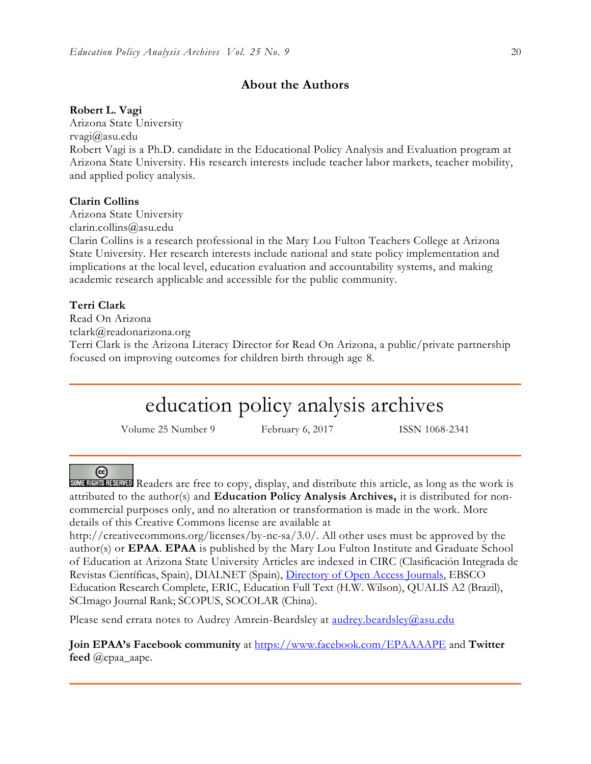## **About the Authors**

### **Robert L. Vagi**

Arizona State University rvagi@asu.edu Robert Vagi is a Ph.D. candidate in the Educational Policy Analysis and Evaluation program at Arizona State University. His research interests include teacher labor markets, teacher mobility, and applied policy analysis.

## **Clarin Collins**

Arizona State University

clarin.collins@asu.edu

Clarin Collins is a research professional in the Mary Lou Fulton Teachers College at Arizona State University. Her research interests include national and state policy implementation and implications at the local level, education evaluation and accountability systems, and making academic research applicable and accessible for the public community.

## **Terri Clark**

Read On Arizona tclark@readonarizona.org Terri Clark is the Arizona Literacy Director for Read On Arizona, a public/private partnership focused on improving outcomes for children birth through age 8.

# education policy analysis archives

Volume 25 Number 9 February 6, 2017 ISSN 1068-2341

#### ര

SOME RIGHTS RESERVED Readers are free to copy, display, and distribute this article, as long as the work is attributed to the author(s) and **Education Policy Analysis Archives,** it is distributed for noncommercial purposes only, and no alteration or transformation is made in the work. More details of this Creative Commons license are available at

http://creativecommons.org/licenses/by-nc-sa/3.0/. All other uses must be approved by the author(s) or **EPAA**. **EPAA** is published by the Mary Lou Fulton Institute and Graduate School of Education at Arizona State University Articles are indexed in CIRC (Clasificación Integrada de Revistas Científicas, Spain), DIALNET (Spain), [Directory of Open Access Journals,](http://www.doaj.org/) EBSCO Education Research Complete, ERIC, Education Full Text (H.W. Wilson), QUALIS A2 (Brazil), SCImago Journal Rank; SCOPUS, SOCOLAR (China).

Please send errata notes to Audrey Amrein-Beardsley at [audrey.beardsley@asu.edu](mailto:audrey.beardsley@asu.edu)

**Join EPAA's Facebook community** at<https://www.facebook.com/EPAAAAPE> and **Twitter feed** @epaa\_aape.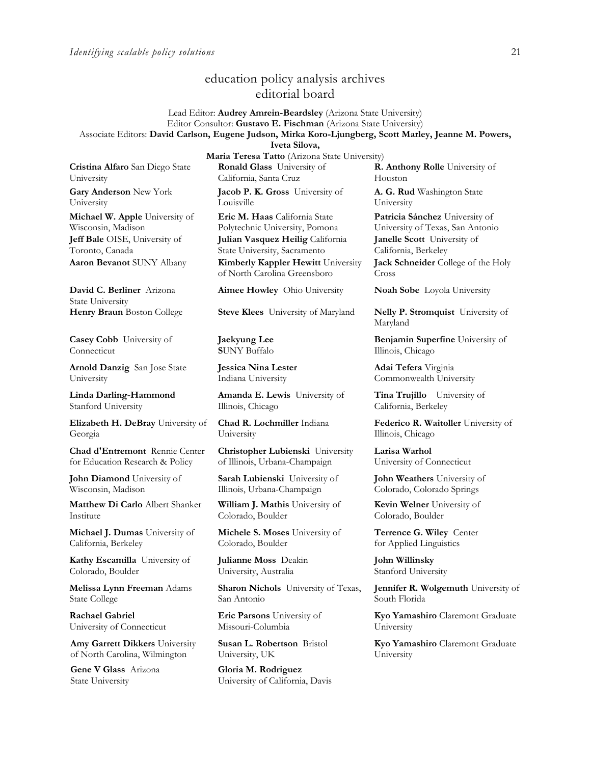## education policy analysis archives editorial board

Lead Editor: **Audrey Amrein-Beardsley** (Arizona State University) Editor Consultor: **Gustavo E. Fischman** (Arizona State University) Associate Editors: **David Carlson, Eugene Judson, Mirka Koro-Ljungberg, Scott Marley, Jeanne M. Powers,** 

**Iveta Silova,** 

**Cristina Alfaro** San Diego State University

**Gary Anderson** New York University

**Michael W. Apple** University of Wisconsin, Madison **Jeff Bale** OISE, University of Toronto, Canada

**David C. Berliner** Arizona State University

**Casey Cobb** University of **Connecticut** 

**Arnold Danzig** San Jose State University

**Linda Darling-Hammond**  Stanford University

**Elizabeth H. DeBray** University of Georgia

**Chad d'Entremont** Rennie Center for Education Research & Policy

**John Diamond** University of Wisconsin, Madison

**Matthew Di Carlo** Albert Shanker Institute

**Michael J. Dumas** University of California, Berkeley

**Kathy Escamilla** University of Colorado, Boulder

**Melissa Lynn Freeman** Adams State College

**Rachael Gabriel** University of Connecticut

**Amy Garrett Dikkers** University of North Carolina, Wilmington

**Gene V Glass** Arizona State University

**Maria Teresa Tatto** (Arizona State University) **Ronald Glass** University of California, Santa Cruz

**Jacob P. K. Gross** University of Louisville

**Eric M. Haas** California State Polytechnic University, Pomona **Julian Vasquez Heilig** California State University, Sacramento **Aaron Bevanot** SUNY Albany **Kimberly Kappler Hewitt** University of North Carolina Greensboro

**Aimee Howley** Ohio University **Noah Sobe** Loyola University

**Henry Braun** Boston College **Steve Klees** University of Maryland **Nelly P. Stromquist** University of

**Jaekyung Lee S**UNY Buffalo

**Jessica Nina Lester** Indiana University

**Amanda E. Lewis** University of Illinois, Chicago

**Chad R. Lochmiller** Indiana University

**Christopher Lubienski** University of Illinois, Urbana-Champaign

**Sarah Lubienski** University of Illinois, Urbana-Champaign

**William J. Mathis** University of Colorado, Boulder

**Michele S. Moses** University of Colorado, Boulder

**Julianne Moss** Deakin University, Australia

**Sharon Nichols** University of Texas, San Antonio

**Eric Parsons** University of Missouri-Columbia

**Susan L. Robertson** Bristol University, UK

**Gloria M. Rodriguez** University of California, Davis **R. Anthony Rolle** University of Houston

**A. G. Rud** Washington State University

**Patricia Sánchez** University of University of Texas, San Antonio **Janelle Scott** University of California, Berkeley **Jack Schneider** College of the Holy Cross

Maryland

**Benjamin Superfine** University of Illinois, Chicago

**Adai Tefera** Virginia Commonwealth University

**Tina Trujillo** University of California, Berkeley

**Federico R. Waitoller** University of Illinois, Chicago

**Larisa Warhol** University of Connecticut

**John Weathers** University of Colorado, Colorado Springs

**Kevin Welner** University of Colorado, Boulder

**Terrence G. Wiley** Center for Applied Linguistics

**John Willinsky**  Stanford University

**Jennifer R. Wolgemuth** University of South Florida

**Kyo Yamashiro** Claremont Graduate University

**Kyo Yamashiro** Claremont Graduate University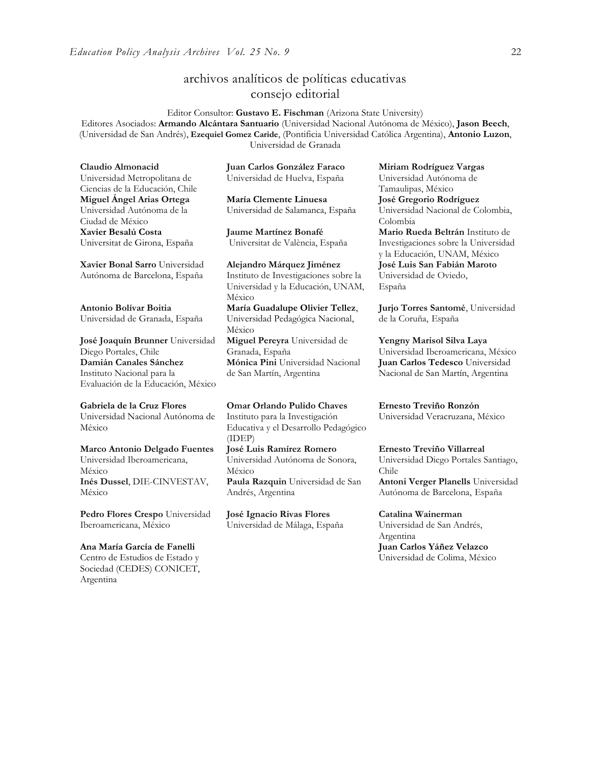## archivos analíticos de políticas educativas consejo editorial

Editor Consultor: **Gustavo E. Fischman** (Arizona State University) Editores Asociados: **Armando Alcántara Santuario** (Universidad Nacional Autónoma de México), **Jason Beech**, (Universidad de San Andrés), **Ezequiel Gomez Caride**, (Pontificia Universidad Católica Argentina), **Antonio Luzon**, Universidad de Granada

**Claudio Almonacid** Universidad Metropolitana de Ciencias de la Educación, Chile **Miguel Ángel Arias Ortega**  Universidad Autónoma de la Ciudad de México **Xavier Besalú Costa**  Universitat de Girona, España

**[Xavier Bonal](javascript:openRTWindow() Sarro** Universidad Autónoma de Barcelona, España

**[Antonio Bolívar](javascript:openRTWindow() Boitia** Universidad de Granada, España

**[José Joaquín Brunner](javascript:openRTWindow()** Universidad Diego Portales, Chile **[Damián Canales Sánchez](javascript:openRTWindow()** Instituto Nacional para la Evaluación de la Educación, México

## **Gabriela de la Cruz Flores**

Universidad Nacional Autónoma de México

**[Marco Antonio Delgado Fuentes](javascript:openRTWindow()** Universidad Iberoamericana, México **[Inés Dussel](javascript:openRTWindow()**, DIE-CINVESTAV, México

**[Pedro Flores Crespo](javascript:openRTWindow()** Universidad Iberoamericana, México

#### **Ana María García de Fanelli**

Centro de Estudios de Estado y Sociedad (CEDES) CONICET, Argentina

**Juan Carlos González Faraco**  Universidad de Huelva, España

**María Clemente Linuesa**  Universidad de Salamanca, España

**Jaume Martínez Bonafé** Universitat de València, España

**Alejandro Márquez Jiménez**  Instituto de Investigaciones sobre la Universidad y la Educación, UNAM, México **María Guadalupe Olivier Tellez**, Universidad Pedagógica Nacional, México **[Miguel Pereyra](javascript:openRTWindow()** Universidad de Granada, España **[Mónica Pini](javascript:openRTWindow()** Universidad Nacional

de San Martín, Argentina

**Omar Orlando Pulido Chaves** Instituto para la Investigación Educativa y el Desarrollo Pedagógico (IDEP) **[José Luis Ramírez](javascript:openRTWindow() Romero**

Universidad Autónoma de Sonora, México **[Paula Razquin](javascript:openRTWindow()** Universidad de San Andrés, Argentina

**José Ignacio Rivas Flores** Universidad de Málaga, España **[Miriam Rodríguez Vargas](javascript:openRTWindow()** Universidad Autónoma de Tamaulipas, México **José Gregorio Rodríguez**  Universidad Nacional de Colombia, Colombia **[Mario Rueda](javascript:openRTWindow() Beltrán** Instituto de Investigaciones sobre la Universidad y la Educación, UNAM, México **José Luis San Fabián Maroto**  Universidad de Oviedo, España

**[Jurjo Torres Santomé](javascript:openRTWindow()**, Universidad de la Coruña, España

**[Yengny Marisol Silva Laya](javascript:openRTWindow()** Universidad Iberoamericana, México **Juan Carlos Tedesco** Universidad Nacional de San Martín, Argentina

**Ernesto Treviño Ronzón** Universidad Veracruzana, México

**[Ernesto Treviño](javascript:openRTWindow() Villarreal** Universidad Diego Portales Santiago, Chile **[Antoni Verger Planells](javascript:openRTWindow()** Universidad

Autónoma de Barcelona, España

#### **[Catalina Wainerman](javascript:openRTWindow()**

Universidad de San Andrés, Argentina **Juan Carlos Yáñez Velazco** Universidad de Colima, México